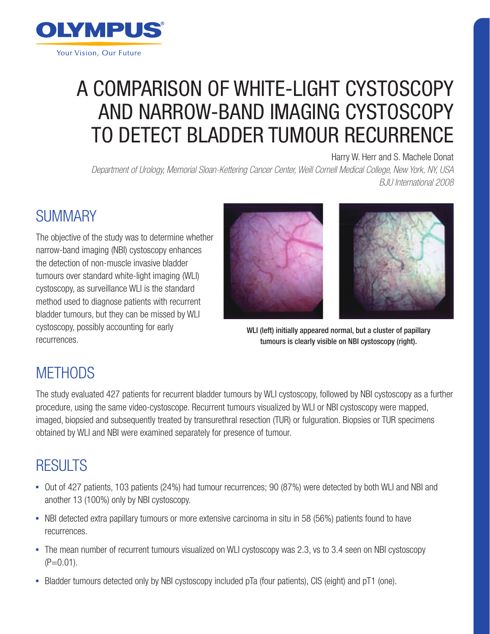

# A COMPARISON OF WHITE-LIGHT CYSTOSCOPY AND NARROW-BAND IMAGING CYSTOSCOPY TO DETECT BLADDER TUMOUR RECURRENCE

#### Harry W. Herr and S. Machele Donat

*Department of Urology, Memorial Sloan-Kettering Cancer Center, Weill Cornell Medical College, New York, NY, USA BJU International 2008*

#### **SUMMARY**

The objective of the study was to determine whether narrow-band imaging (NBI) cystoscopy enhances the detection of non-muscle invasive bladder tumours over standard white-light imaging (WLI) cystoscopy, as surveillance WLI is the standard method used to diagnose patients with recurrent bladder tumours, but they can be missed by WLI cystoscopy, possibly accounting for early recurrences.





WLI (left) initially appeared normal, but a cluster of papillary tumours is clearly visible on NBI cystoscopy (right).

## **METHODS**

The study evaluated 427 patients for recurrent bladder tumours by WLI cystoscopy, followed by NBI cystoscopy as a further procedure, using the same video-cystoscope. Recurrent tumours visualized by WLI or NBI cystoscopy were mapped, imaged, biopsied and subsequently treated by transurethral resection (TUR) or fulguration. Biopsies or TUR specimens obtained by WLI and NBI were examined separately for presence of tumour.

#### RESULTS

- Out of 427 patients, 103 patients (24%) had tumour recurrences; 90 (87%) were detected by both WLI and NBI and another 13 (100%) only by NBI cystoscopy.
- NBI detected extra papillary tumours or more extensive carcinoma in situ in 58 (56%) patients found to have recurrences.
- The mean number of recurrent tumours visualized on WLI cystoscopy was 2.3, vs to 3.4 seen on NBI cystoscopy  $(P=0.01)$ .
- Bladder tumours detected only by NBI cystoscopy included pTa (four patients), CIS (eight) and pT1 (one).